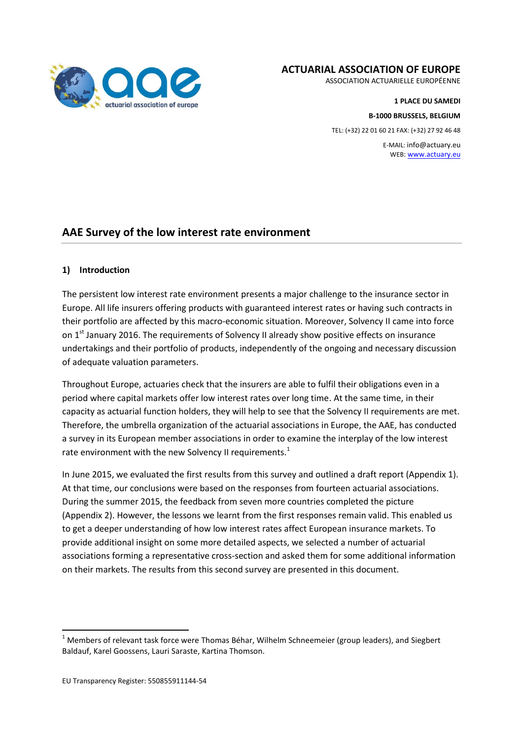

#### **ACTUARIAL ASSOCIATION OF EUROPE**

ASSOCIATION ACTUARIELLE EUROPÉENNE

**1 PLACE DU SAMEDI B-1000 BRUSSELS, BELGIUM**  TEL: (+32) 22 01 60 21 FAX: (+32) 27 92 46 48

E-MAIL: info@actuary.eu WEB[: www.actuary.eu](http://www.actuary.eu/)

# **AAE Survey of the low interest rate environment**

#### **1) Introduction**

The persistent low interest rate environment presents a major challenge to the insurance sector in Europe. All life insurers offering products with guaranteed interest rates or having such contracts in their portfolio are affected by this macro-economic situation. Moreover, Solvency II came into force on 1<sup>st</sup> January 2016. The requirements of Solvency II already show positive effects on insurance undertakings and their portfolio of products, independently of the ongoing and necessary discussion of adequate valuation parameters.

Throughout Europe, actuaries check that the insurers are able to fulfil their obligations even in a period where capital markets offer low interest rates over long time. At the same time, in their capacity as actuarial function holders, they will help to see that the Solvency II requirements are met. Therefore, the umbrella organization of the actuarial associations in Europe, the AAE, has conducted a survey in its European member associations in order to examine the interplay of the low interest rate environment with the new Solvency II requirements.<sup>1</sup>

In June 2015, we evaluated the first results from this survey and outlined a draft report (Appendix 1). At that time, our conclusions were based on the responses from fourteen actuarial associations. During the summer 2015, the feedback from seven more countries completed the picture (Appendix 2). However, the lessons we learnt from the first responses remain valid. This enabled us to get a deeper understanding of how low interest rates affect European insurance markets. To provide additional insight on some more detailed aspects, we selected a number of actuarial associations forming a representative cross-section and asked them for some additional information on their markets. The results from this second survey are presented in this document.

1

 $1$  Members of relevant task force were Thomas Béhar, Wilhelm Schneemeier (group leaders), and Siegbert Baldauf, Karel Goossens, Lauri Saraste, Kartina Thomson.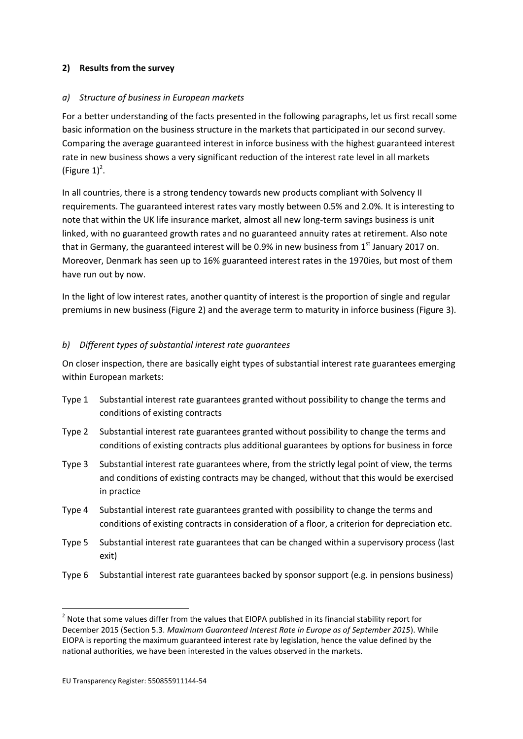## **2) Results from the survey**

#### *a) Structure of business in European markets*

For a better understanding of the facts presented in the following paragraphs, let us first recall some basic information on the business structure in the markets that participated in our second survey. Comparing the average guaranteed interest in inforce business with the highest guaranteed interest rate in new business shows a very significant reduction of the interest rate level in all markets (Figure  $1)^2$ .

In all countries, there is a strong tendency towards new products compliant with Solvency II requirements. The guaranteed interest rates vary mostly between 0.5% and 2.0%. It is interesting to note that within the UK life insurance market, almost all new long-term savings business is unit linked, with no guaranteed growth rates and no guaranteed annuity rates at retirement. Also note that in Germany, the guaranteed interest will be 0.9% in new business from  $1<sup>st</sup>$  January 2017 on. Moreover, Denmark has seen up to 16% guaranteed interest rates in the 1970ies, but most of them have run out by now.

In the light of low interest rates, another quantity of interest is the proportion of single and regular premiums in new business (Figure 2) and the average term to maturity in inforce business (Figure 3).

#### *b) Different types of substantial interest rate guarantees*

On closer inspection, there are basically eight types of substantial interest rate guarantees emerging within European markets:

- Type 1 Substantial interest rate guarantees granted without possibility to change the terms and conditions of existing contracts
- Type 2 Substantial interest rate guarantees granted without possibility to change the terms and conditions of existing contracts plus additional guarantees by options for business in force
- Type 3 Substantial interest rate guarantees where, from the strictly legal point of view, the terms and conditions of existing contracts may be changed, without that this would be exercised in practice
- Type 4 Substantial interest rate guarantees granted with possibility to change the terms and conditions of existing contracts in consideration of a floor, a criterion for depreciation etc.
- Type 5 Substantial interest rate guarantees that can be changed within a supervisory process (last exit)
- Type 6 Substantial interest rate guarantees backed by sponsor support (e.g. in pensions business)

1

<sup>&</sup>lt;sup>2</sup> Note that some values differ from the values that EIOPA published in its financial stability report for December 2015 (Section 5.3. *Maximum Guaranteed Interest Rate in Europe as of September 2015*). While EIOPA is reporting the maximum guaranteed interest rate by legislation, hence the value defined by the national authorities, we have been interested in the values observed in the markets.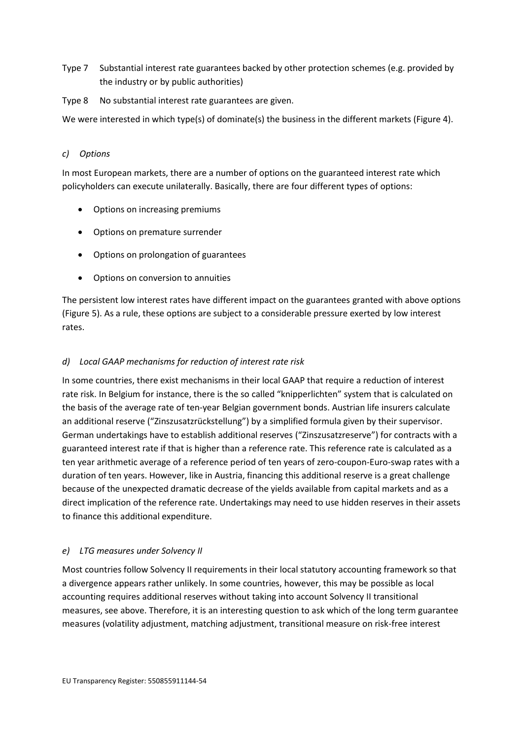- Type 7 Substantial interest rate guarantees backed by other protection schemes (e.g. provided by the industry or by public authorities)
- Type 8 No substantial interest rate guarantees are given.

We were interested in which type(s) of dominate(s) the business in the different markets (Figure 4).

## *c) Options*

In most European markets, there are a number of options on the guaranteed interest rate which policyholders can execute unilaterally. Basically, there are four different types of options:

- Options on increasing premiums
- Options on premature surrender
- Options on prolongation of guarantees
- Options on conversion to annuities

The persistent low interest rates have different impact on the guarantees granted with above options (Figure 5). As a rule, these options are subject to a considerable pressure exerted by low interest rates.

## *d) Local GAAP mechanisms for reduction of interest rate risk*

In some countries, there exist mechanisms in their local GAAP that require a reduction of interest rate risk. In Belgium for instance, there is the so called "knipperlichten" system that is calculated on the basis of the average rate of ten-year Belgian government bonds. Austrian life insurers calculate an additional reserve ("Zinszusatzrückstellung") by a simplified formula given by their supervisor. German undertakings have to establish additional reserves ("Zinszusatzreserve") for contracts with a guaranteed interest rate if that is higher than a reference rate. This reference rate is calculated as a ten year arithmetic average of a reference period of ten years of zero-coupon-Euro-swap rates with a duration of ten years. However, like in Austria, financing this additional reserve is a great challenge because of the unexpected dramatic decrease of the yields available from capital markets and as a direct implication of the reference rate. Undertakings may need to use hidden reserves in their assets to finance this additional expenditure.

## *e) LTG measures under Solvency II*

Most countries follow Solvency II requirements in their local statutory accounting framework so that a divergence appears rather unlikely. In some countries, however, this may be possible as local accounting requires additional reserves without taking into account Solvency II transitional measures, see above. Therefore, it is an interesting question to ask which of the long term guarantee measures (volatility adjustment, matching adjustment, transitional measure on risk-free interest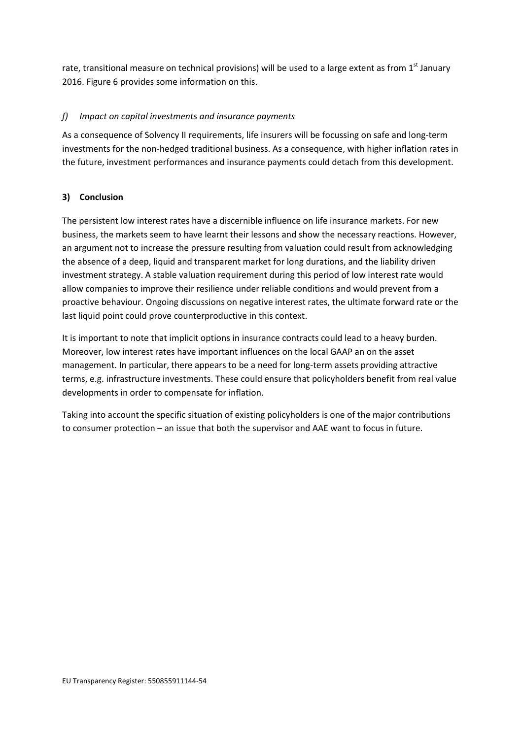rate, transitional measure on technical provisions) will be used to a large extent as from  $1<sup>st</sup>$  January 2016. Figure 6 provides some information on this.

## *f) Impact on capital investments and insurance payments*

As a consequence of Solvency II requirements, life insurers will be focussing on safe and long-term investments for the non-hedged traditional business. As a consequence, with higher inflation rates in the future, investment performances and insurance payments could detach from this development.

## **3) Conclusion**

The persistent low interest rates have a discernible influence on life insurance markets. For new business, the markets seem to have learnt their lessons and show the necessary reactions. However, an argument not to increase the pressure resulting from valuation could result from acknowledging the absence of a deep, liquid and transparent market for long durations, and the liability driven investment strategy. A stable valuation requirement during this period of low interest rate would allow companies to improve their resilience under reliable conditions and would prevent from a proactive behaviour. Ongoing discussions on negative interest rates, the ultimate forward rate or the last liquid point could prove counterproductive in this context.

It is important to note that implicit options in insurance contracts could lead to a heavy burden. Moreover, low interest rates have important influences on the local GAAP an on the asset management. In particular, there appears to be a need for long-term assets providing attractive terms, e.g. infrastructure investments. These could ensure that policyholders benefit from real value developments in order to compensate for inflation.

Taking into account the specific situation of existing policyholders is one of the major contributions to consumer protection – an issue that both the supervisor and AAE want to focus in future.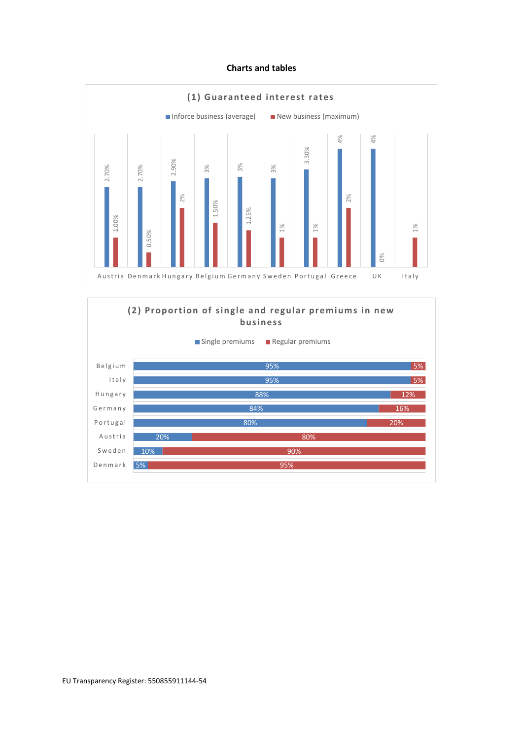#### **Charts and tables**



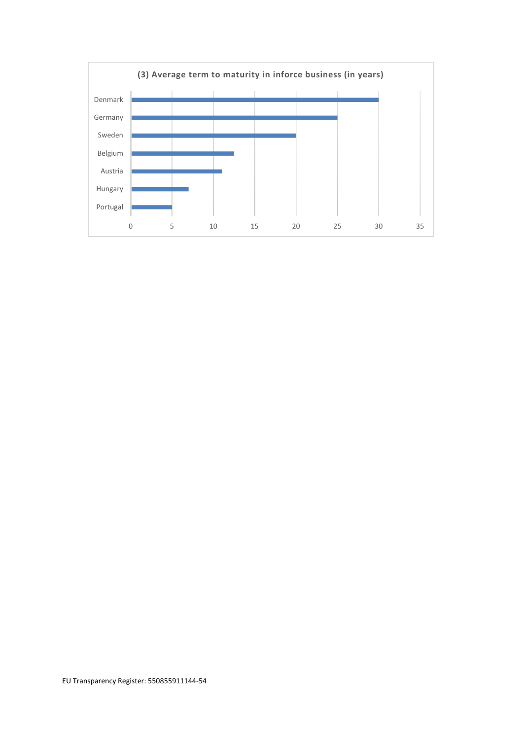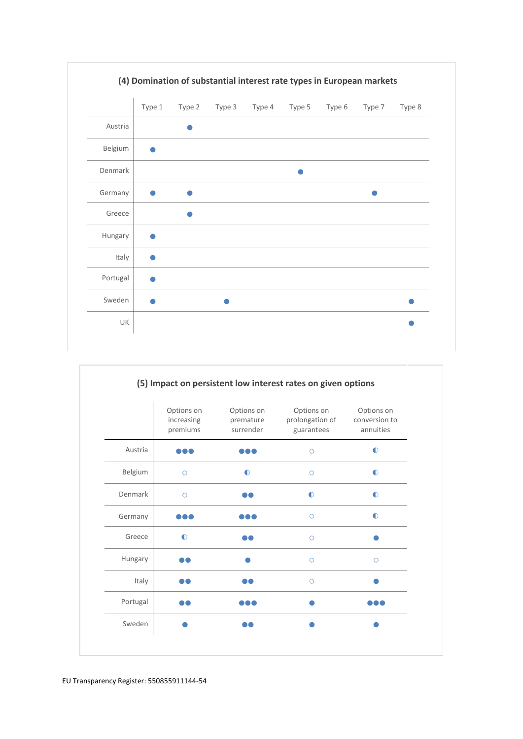

|          | Options on<br>increasing<br>premiums | Options on<br>premature<br>surrender | Options on<br>prolongation of<br>guarantees | Options on<br>conversion to<br>annuities |
|----------|--------------------------------------|--------------------------------------|---------------------------------------------|------------------------------------------|
| Austria  |                                      |                                      | $\circ$                                     | $\bullet$                                |
| Belgium  | $\circ$                              | $\bullet$                            | $\circ$                                     | $\bullet$                                |
| Denmark  | $\circ$                              |                                      | $\bullet$                                   | $\bullet$                                |
| Germany  |                                      |                                      | $\circ$                                     | $\bullet$                                |
| Greece   | $\bullet$                            |                                      | $\bigcirc$                                  |                                          |
| Hungary  | DO.                                  |                                      | $\circ$                                     | $\circ$                                  |
| Italy    | DO                                   | DO                                   | $\circ$                                     |                                          |
| Portugal |                                      | .                                    |                                             |                                          |
| Sweden   |                                      | DO                                   |                                             |                                          |